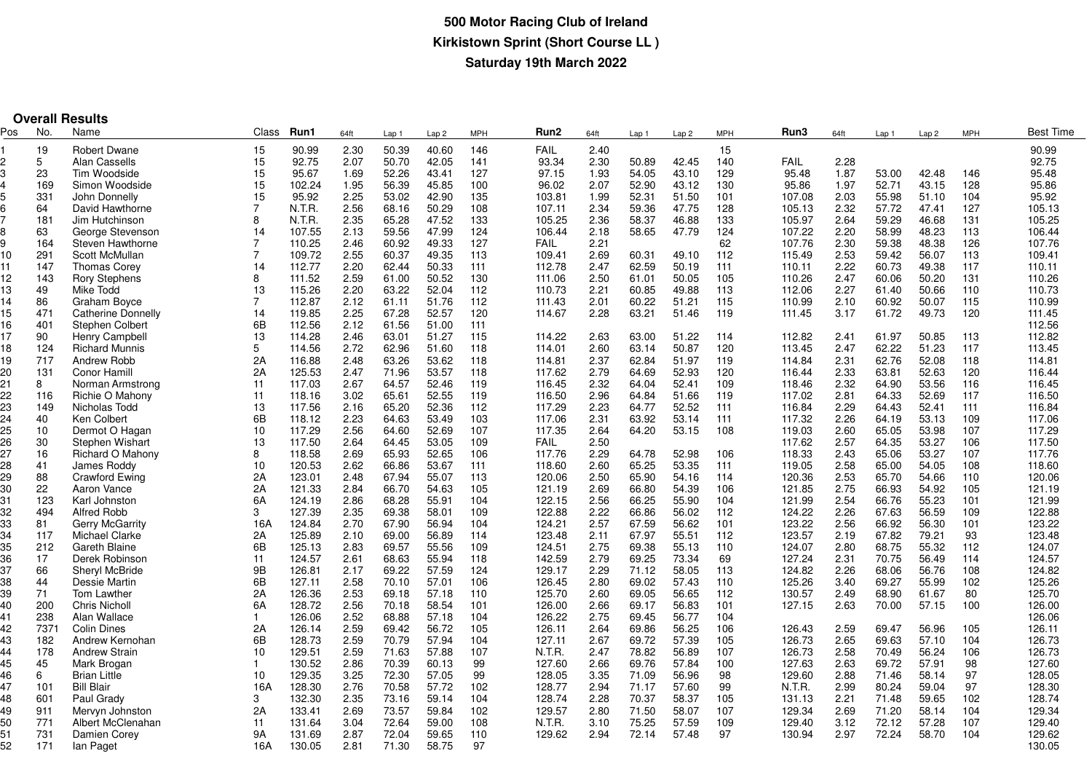|          | <b>Overall Results</b> |                                          |                |                  |              |                  |                  |            |                  |              |                  |                  |            |                  |              |                  |                  |            |                  |
|----------|------------------------|------------------------------------------|----------------|------------------|--------------|------------------|------------------|------------|------------------|--------------|------------------|------------------|------------|------------------|--------------|------------------|------------------|------------|------------------|
| Pos      | No.                    | Name                                     | Class          | Run1             | 64ft         | Lap <sub>1</sub> | Lap <sub>2</sub> | <b>MPH</b> | Run <sub>2</sub> | 64ft         | Lap <sub>1</sub> | Lap <sub>2</sub> | <b>MPH</b> | Run3             | 64ft         | Lap <sub>1</sub> | Lap <sub>2</sub> | <b>MPH</b> | <b>Best Time</b> |
|          | 19                     | <b>Robert Dwane</b>                      | 15             | 90.99            | 2.30         | 50.39            | 40.60            | 146        | <b>FAIL</b>      | 2.40         |                  |                  | 15         |                  |              |                  |                  |            | 90.99            |
|          | 5                      | <b>Alan Cassells</b>                     | 15             | 92.75            | 2.07         | 50.70            | 42.05            | 141        | 93.34            | 2.30         | 50.89            | 42.45            | 140        | <b>FAIL</b>      | 2.28         |                  |                  |            | 92.75            |
|          | 23                     | Tim Woodside                             | 15             | 95.67            | 1.69         | 52.26            | 43.41            | 127        | 97.15            | 1.93         | 54.05            | 43.10            | 129        | 95.48            | 1.87         | 53.00            | 42.48            | 146        | 95.48            |
|          | 169                    | Simon Woodside                           | 15             | 102.24           | 1.95         | 56.39            | 45.85            | 100        | 96.02            | 2.07         | 52.90            | 43.12            | 130        | 95.86            | 1.97         | 52.71            | 43.15            | 128        | 95.86            |
|          | 331                    | John Donnelly                            | 15             | 95.92            | 2.25         | 53.02            | 42.90            | 135        | 103.81           | 1.99         | 52.31            | 51.50            | 101        | 107.08           | 2.03         | 55.98            | 51.10            | 104        | 95.92            |
|          | 64                     | David Hawthorne                          | $\overline{7}$ | N.T.R.           | 2.56         | 68.16            | 50.29            | 108        | 107.11           | 2.34         | 59.36            | 47.75            | 128        | 105.13           | 2.32         | 57.72            | 47.41            | 127        | 105.13           |
|          | 181                    | Jim Hutchinson                           | 8              | N.T.R.           | 2.35         | 65.28            | 47.52            | 133        | 105.25           | 2.36         | 58.37            | 46.88            | 133        | 105.97           | 2.64         | 59.29            | 46.68            | 131        | 105.25           |
|          | 63                     | George Stevenson                         | 14             | 107.55           | 2.13         | 59.56            | 47.99            | 124        | 106.44           | 2.18         | 58.65            | 47.79            | 124        | 107.22           | 2.20         | 58.99            | 48.23            | 113        | 106.44           |
|          | 164                    | Steven Hawthorne                         | $\overline{7}$ | 110.25           | 2.46         | 60.92            | 49.33            | 127        | <b>FAIL</b>      | 2.21         |                  |                  | 62         | 107.76           | 2.30         | 59.38            | 48.38            | 126        | 107.76           |
| 10       | 291                    | Scott McMullan                           | $\overline{7}$ | 109.72           | 2.55         | 60.37            | 49.35            | 113        | 109.41           | 2.69         | 60.31            | 49.10            | 112        | 115.49           | 2.53         | 59.42            | 56.07            | 113        | 109.41           |
| 11       | 147                    | <b>Thomas Corey</b>                      | 14             | 112.77           | 2.20         | 62.44            | 50.33            | 111        | 112.78           | 2.47         | 62.59            | 50.19            | 111        | 110.11           | 2.22         | 60.73            | 49.38            | 117        | 110.11           |
| 12       | 143                    | <b>Rory Stephens</b>                     | 8              | 111.52           | 2.59         | 61.00            | 50.52            | 130        | 111.06           | 2.50         | 61.01            | 50.05            | 105        | 110.26           | 2.47         | 60.06            | 50.20            | 131        | 110.26           |
| 13       | 49                     | Mike Todd                                | 13             | 115.26           | 2.20         | 63.22            | 52.04            | 112        | 110.73           | 2.21         | 60.85            | 49.88            | 113        | 112.06           | 2.27         | 61.40            | 50.66            | 110        | 110.73           |
| 14       | 86                     | Graham Bovce                             | $\overline{7}$ | 112.87           | 2.12         | 61.11            | 51.76            | 112        | 111.43           | 2.01         | 60.22            | 51.21            | 115        | 110.99           | 2.10         | 60.92            | 50.07            | 115        | 110.99           |
| 15       | 471                    | <b>Catherine Donnelly</b>                | 14             | 119.85           | 2.25         | 67.28            | 52.57            | 120        | 114.67           | 2.28         | 63.21            | 51.46            | 119        | 111.45           | 3.17         | 61.72            | 49.73            | 120        | 111.45           |
| 16       | 401                    | Stephen Colbert                          | 6B             | 112.56           | 2.12         | 61.56            | 51.00            | 111        |                  |              |                  |                  |            |                  |              |                  |                  |            | 112.56           |
| 17       | 90                     | <b>Henry Campbell</b>                    | 13             | 114.28           | 2.46         | 63.01            | 51.27            | 115        | 114.22           | 2.63         | 63.00            | 51.22            | 114        | 112.82           | 2.41         | 61.97            | 50.85            | 113        | 112.82           |
| 18       | 124                    | <b>Richard Munnis</b>                    | 5              | 114.56           | 2.72         | 62.96            | 51.60            | 118        | 114.01           | 2.60         | 63.14            | 50.87            | 120        | 113.45           | 2.47         | 62.22            | 51.23            | 117        | 113.45           |
| 19       | 717                    | Andrew Robb                              | 2A             | 116.88           | 2.48         | 63.26            | 53.62            | 118        | 114.81           | 2.37         | 62.84            | 51.97            | 119        | 114.84           | 2.31         | 62.76            | 52.08            | 118        | 114.81           |
| 20       | 131                    | <b>Conor Hamill</b>                      | 2A             | 125.53           | 2.47         | 71.96            | 53.57            | 118        | 117.62           | 2.79         | 64.69            | 52.93            | 120        | 116.44           | 2.33         | 63.81            | 52.63            | 120        | 116.44           |
| 21       | 8                      | Norman Armstrong                         | 11             | 117.03           | 2.67         | 64.57            | 52.46            | 119        | 116.45           | 2.32         | 64.04            | 52.41            | 109        | 118.46           | 2.32         | 64.90            | 53.56            | 116        | 116.45           |
| 22       | 116                    | Richie O Mahony                          | 11             | 118.16           | 3.02         | 65.61            | 52.55            | 119        | 116.50           | 2.96         | 64.84            | 51.66            | 119        | 117.02           | 2.81         | 64.33            | 52.69            | 117        | 116.50           |
| 23       | 149                    | Nicholas Todd                            | 13             | 117.56           | 2.16         | 65.20            | 52.36            | 112        | 117.29           | 2.23         | 64.77            | 52.52            | 111        | 116.84           | 2.29         | 64.43            | 52.41            | 111        | 116.84           |
| 24       | 40                     | Ken Colbert                              | 6B             | 118.12           | 2.23         | 64.63            | 53.49            | 103        | 117.06           | 2.31         | 63.92            | 53.14            | 111        | 117.32           | 2.26         | 64.19            | 53.13            | 109        | 117.06           |
| 25       | 10                     | Dermot O Hagan                           | 10             | 117.29           | 2.56         | 64.60            | 52.69            | 107        | 117.35           | 2.64         | 64.20            | 53.15            | 108        | 119.03           | 2.60         | 65.05            | 53.98            | 107        | 117.29           |
| 26       | 30                     | Stephen Wishart                          | 13             | 117.50           | 2.64         | 64.45            | 53.05            | 109        | <b>FAIL</b>      | 2.50         |                  |                  |            | 117.62           | 2.57         | 64.35            | 53.27            | 106        | 117.50           |
| 27       | 16                     | Richard O Mahony                         | 8              | 118.58           | 2.69         | 65.93            | 52.65            | 106        | 117.76           | 2.29         | 64.78            | 52.98            | 106        | 118.33           | 2.43         | 65.06            | 53.27            | 107        | 117.76           |
| 28       | 41                     | James Roddy                              | 10             | 120.53           | 2.62         | 66.86            | 53.67            | 111        | 118.60           | 2.60         | 65.25            | 53.35            | 111        | 119.05           | 2.58         | 65.00            | 54.05            | 108        | 118.60           |
| 29       | 88                     | <b>Crawford Ewing</b>                    | 2A             | 123.01           | 2.48         | 67.94            | 55.07            | 113        | 120.06           | 2.50         | 65.90            | 54.16            | 114        | 120.36           | 2.53         | 65.70            | 54.66            | 110        | 120.06           |
| 30       | 22                     | Aaron Vance                              | 2A             | 121.33           | 2.84         | 66.70            | 54.63            | 105        | 121.19           | 2.69         | 66.80            | 54.39            | 106        | 121.85           | 2.75         | 66.93            | 54.92            | 105        | 121.19           |
| 31       | 123                    | Karl Johnston                            | 6A             | 124.19           | 2.86         | 68.28            | 55.91            | 104        | 122.15           | 2.56         | 66.25            | 55.90            | 104        | 121.99           | 2.54         | 66.76            | 55.23            | 101        | 121.99           |
| 32       | 494                    | <b>Alfred Robb</b>                       | 3              | 127.39           | 2.35         | 69.38            | 58.01            | 109        | 122.88           | 2.22         | 66.86            | 56.02            | 112        | 124.22           | 2.26         | 67.63            | 56.59            | 109        | 122.88           |
| 33       | 81                     | <b>Gerry McGarrity</b>                   | 16A            | 124.84           | 2.70         | 67.90            | 56.94            | 104        | 124.21           | 2.57         | 67.59            | 56.62            | 101        | 123.22           | 2.56         | 66.92            | 56.30            | 101        | 123.22           |
| 34       | 117                    | <b>Michael Clarke</b>                    | 2A             | 125.89           | 2.10         | 69.00            | 56.89            | 114        | 123.48           | 2.11         | 67.97            | 55.51            | 112        | 123.57           | 2.19         | 67.82            | 79.21            | 93         | 123.48           |
| 35       | 212                    | Gareth Blaine                            | 6B             | 125.13           | 2.83         | 69.57            | 55.56            | 109        | 124.51           | 2.75         | 69.38            | 55.13            | 110        | 124.07           | 2.80         | 68.75            | 55.32            | 112        | 124.07           |
| 36       | 17                     | Derek Robinson                           | 11             | 124.57           | 2.61         | 68.63            | 55.94            | 118        | 142.59           | 2.79         | 69.25            | 73.34            | 69         | 127.24           | 2.31         | 70.75            | 56.49            | 114        | 124.57           |
| 37       | 66                     | Sheryl McBride                           | 9B             | 126.81           | 2.17         | 69.22            | 57.59            | 124        | 129.17           | 2.29         | 71.12            | 58.05            | 113        | 124.82           | 2.26         | 68.06            | 56.76            | 108        | 124.82           |
| 38       | 44                     | Dessie Martin                            | 6B             | 127.11           | 2.58         | 70.10            | 57.01            | 106        | 126.45           | 2.80         | 69.02            | 57.43            | 110        | 125.26           | 3.40         | 69.27            | 55.99            | 102        | 125.26           |
| 39       | 71                     | Tom Lawther                              | 2A             | 126.36           | 2.53         | 69.18            | 57.18            | 110        | 125.70           | 2.60         | 69.05            | 56.65            | 112        | 130.57           | 2.49         | 68.90            | 61.67            | 80         | 125.70           |
| 40       | 200                    | <b>Chris Nicholl</b>                     | 6A             | 128.72           | 2.56         | 70.18            | 58.54            | 101        | 126.00           | 2.66         | 69.17            | 56.83            | 101        | 127.15           | 2.63         | 70.00            | 57.15            | 100        | 126.00           |
| 41       | 238                    | Alan Wallace                             | $\mathbf{1}$   | 126.06           | 2.52         | 68.88            | 57.18            | 104        | 126.22           | 2.75         | 69.45            | 56.77            | 104        |                  |              |                  |                  |            | 126.06           |
| 42       | 7371                   | <b>Colin Dines</b>                       | 2A             | 126.14           | 2.59         | 69.42            | 56.72            | 105        | 126.11           | 2.64         | 69.86            | 56.25            | 106        | 126.43           | 2.59         | 69.47            | 56.96            | 105        | 126.11           |
| 43       | 182                    | Andrew Kernohan                          | 6B             | 128.73           | 2.59         | 70.79            | 57.94            | 104        | 127.11           | 2.67         | 69.72            | 57.39            | 105        | 126.73           | 2.65         | 69.63            | 57.10            | 104        | 126.73           |
| 44       | 178                    | <b>Andrew Strain</b>                     | 10             | 129.51           | 2.59         | 71.63            | 57.88            | 107        | N.T.R.           | 2.47         | 78.82            | 56.89            | 107        | 126.73           | 2.58         | 70.49            | 56.24            | 106        | 126.73           |
| 45       | 45                     | Mark Brogan                              | $\mathbf{1}$   | 130.52           | 2.86         | 70.39            | 60.13            | 99         | 127.60           | 2.66         | 69.76            | 57.84            | 100        | 127.63           | 2.63         | 69.72            | 57.91            | 98         | 127.60           |
| 46       | 6                      | <b>Brian Little</b><br><b>Bill Blair</b> | 10<br>16A      | 129.35           | 3.25         | 72.30            | 57.05            | 99         | 128.05           | 3.35         | 71.09            | 56.96            | 98         | 129.60           | 2.88         | 71.46            | 58.14            | 97<br>97   | 128.05           |
| 47       | 101                    |                                          |                | 128.30           | 2.76         | 70.58            | 57.72            | 102        | 128.77           | 2.94         | 71.17            | 57.60            | 99         | N.T.R.           | 2.99         | 80.24            | 59.04            |            | 128.30           |
| 48       | 601<br>911             | Paul Grady                               | 3<br>2A        | 132.30<br>133.41 | 2.35<br>2.69 | 73.16            | 59.14<br>59.84   | 104<br>102 | 128.74<br>129.57 | 2.28<br>2.80 | 70.37<br>71.50   | 58.37<br>58.07   | 105<br>107 | 131.13<br>129.34 | 2.21<br>2.69 | 71.48            | 59.65<br>58.14   | 102<br>104 | 128.74<br>129.34 |
| 49       | 771                    | Mervyn Johnston<br>Albert McClenahan     | 11             | 131.64           | 3.04         | 73.57<br>72.64   | 59.00            | 108        |                  | 3.10         | 75.25            | 57.59            | 109        |                  | 3.12         | 71.20<br>72.12   | 57.28            | 107        |                  |
| 50<br>51 | 731                    | Damien Corey                             | <b>9A</b>      | 131.69           | 2.87         | 72.04            | 59.65            | 110        | N.T.R.<br>129.62 | 2.94         | 72.14            | 57.48            | 97         | 129.40<br>130.94 | 2.97         | 72.24            | 58.70            | 104        | 129.40<br>129.62 |
| 52       | 171                    | lan Paget                                | 16A            | 130.05           | 2.81         | 71.30            | 58.75            | 97         |                  |              |                  |                  |            |                  |              |                  |                  |            | 130.05           |
|          |                        |                                          |                |                  |              |                  |                  |            |                  |              |                  |                  |            |                  |              |                  |                  |            |                  |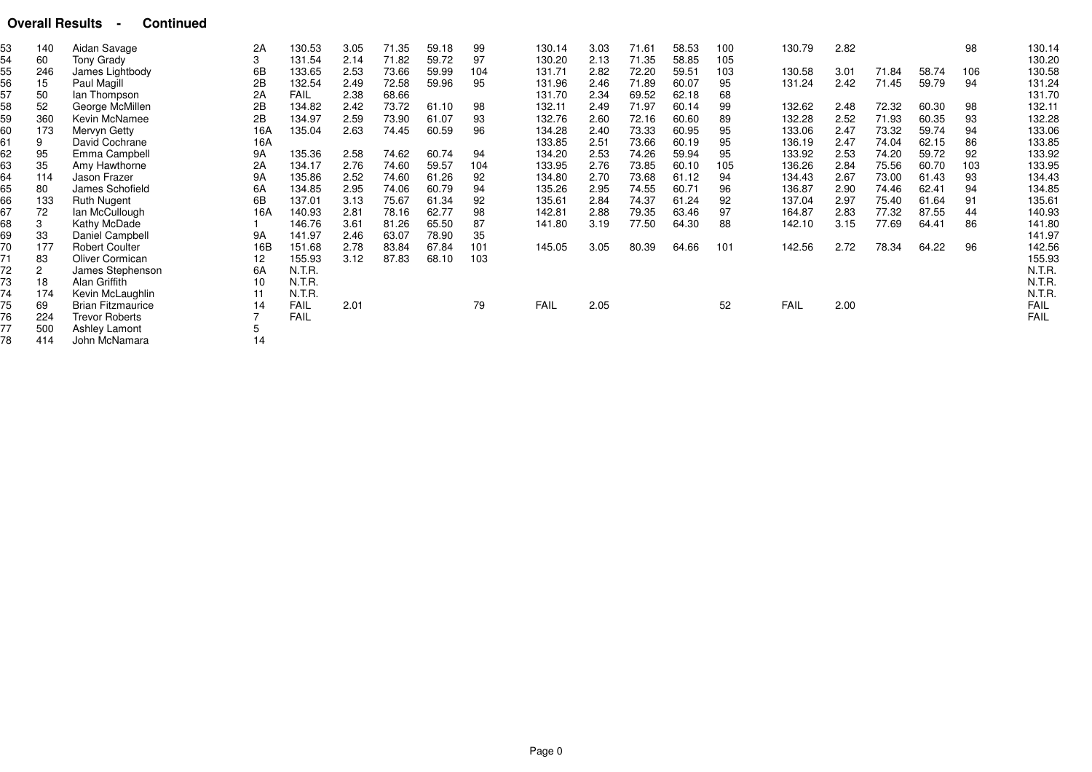#### **Overall Results - Continued**

| 53 | 140 | Aidan Savage             | 2A  | 130.53      | 3.05 | 71.35 | 59.18 | 99  | 130.14      | 3.03 | 71.61 | 58.53 | 100 | 130.79 | 2.82 |       |       | 98  | 130.14      |
|----|-----|--------------------------|-----|-------------|------|-------|-------|-----|-------------|------|-------|-------|-----|--------|------|-------|-------|-----|-------------|
| 54 | 60  | Tony Grady               | 3   | 131.54      | 2.14 | 71.82 | 59.72 | 97  | 130.20      | 2.13 | 71.35 | 58.85 | 105 |        |      |       |       |     | 130.20      |
| 55 | 246 | James Lightbody          | 6B  | 133.65      | 2.53 | 73.66 | 59.99 | 104 | 131.71      | 2.82 | 72.20 | 59.51 | 103 | 130.58 | 3.01 | 71.84 | 58.74 | 106 | 130.58      |
| 56 | 15  | Paul Magill              | 2B  | 132.54      | 2.49 | 72.58 | 59.96 | 95  | 131.96      | 2.46 | 71.89 | 60.07 | 95  | 131.24 | 2.42 | 71.45 | 59.79 | 94  | 131.24      |
| 57 | 50  | lan Thompson             | 2A  | <b>FAIL</b> | 2.38 | 68.66 |       |     | 131.70      | 2.34 | 69.52 | 62.18 | 68  |        |      |       |       |     | 131.70      |
| 58 | 52  | George McMillen          | 2B  | 134.82      | 2.42 | 73.72 | 61.10 | 98  | 132.11      | 2.49 | 71.97 | 60.14 | 99  | 132.62 | 2.48 | 72.32 | 60.30 | 98  | 132.11      |
| 59 | 360 | Kevin McNamee            | 2B  | 134.97      | 2.59 | 73.90 | 61.07 | 93  | 132.76      | 2.60 | 72.16 | 60.60 | 89  | 132.28 | 2.52 | 71.93 | 60.35 | 93  | 132.28      |
| 60 | 173 | Mervyn Getty             | 16A | 135.04      | 2.63 | 74.45 | 60.59 | 96  | 134.28      | 2.40 | 73.33 | 60.95 | 95  | 133.06 | 2.47 | 73.32 | 59.74 | 94  | 133.06      |
| 61 | 9   | David Cochrane           | 16A |             |      |       |       |     | 133.85      | 2.51 | 73.66 | 60.19 | 95  | 136.19 | 2.47 | 74.04 | 62.15 | 86  | 133.85      |
| 62 | 95  | Emma Campbell            | 9A  | 135.36      | 2.58 | 74.62 | 60.74 | 94  | 134.20      | 2.53 | 74.26 | 59.94 | 95  | 133.92 | 2.53 | 74.20 | 59.72 | 92  | 133.92      |
| 63 | 35  | Amy Hawthorne            | 2A  | 134.17      | 2.76 | 74.60 | 59.57 | 104 | 133.95      | 2.76 | 73.85 | 60.10 | 105 | 136.26 | 2.84 | 75.56 | 60.70 | 103 | 133.95      |
| 64 | 114 | Jason Frazer             | 9A  | 135.86      | 2.52 | 74.60 | 61.26 | 92  | 134.80      | 2.70 | 73.68 | 61.12 | 94  | 134.43 | 2.67 | 73.00 | 61.43 | 93  | 134.43      |
| 65 | 80  | James Schofield          | 6A  | 134.85      | 2.95 | 74.06 | 60.79 | 94  | 135.26      | 2.95 | 74.55 | 60.71 | 96  | 136.87 | 2.90 | 74.46 | 62.41 | 94  | 134.85      |
| 66 | 133 | <b>Ruth Nugent</b>       | 6B  | 137.01      | 3.13 | 75.67 | 61.34 | 92  | 135.61      | 2.84 | 74.37 | 61.24 | 92  | 137.04 | 2.97 | 75.40 | 61.64 | 91  | 135.61      |
| 67 | 72  | lan McCullough           | 16A | 140.93      | 2.81 | 78.16 | 62.77 | 98  | 142.81      | 2.88 | 79.35 | 63.46 | 97  | 164.87 | 2.83 | 77.32 | 87.55 | 44  | 140.93      |
| 68 | 3   | Kathy McDade             |     | 146.76      | 3.61 | 81.26 | 65.50 | 87  | 141.80      | 3.19 | 77.50 | 64.30 | 88  | 142.10 | 3.15 | 77.69 | 64.41 | 86  | 141.80      |
| 69 | 33  | Daniel Campbell          | 9A  | 141.97      | 2.46 | 63.07 | 78.90 | 35  |             |      |       |       |     |        |      |       |       |     | 141.97      |
| 70 | 177 | <b>Robert Coulter</b>    | 16B | 151.68      | 2.78 | 83.84 | 67.84 | 101 | 145.05      | 3.05 | 80.39 | 64.66 | 101 | 142.56 | 2.72 | 78.34 | 64.22 | 96  | 142.56      |
| 71 | 83  | Oliver Cormican          | 12  | 155.93      | 3.12 | 87.83 | 68.10 | 103 |             |      |       |       |     |        |      |       |       |     | 155.93      |
| 72 |     | James Stephenson         | 6A  | N.T.R.      |      |       |       |     |             |      |       |       |     |        |      |       |       |     | N.T.R.      |
| 73 | 18  | Alan Griffith            | 10  | N.T.R.      |      |       |       |     |             |      |       |       |     |        |      |       |       |     | N.T.R.      |
| 74 | 174 | Kevin McLaughlin         | 11  | N.T.R.      |      |       |       |     |             |      |       |       |     |        |      |       |       |     | N.T.R.      |
| 75 | 69  | <b>Brian Fitzmaurice</b> | 14  | <b>FAIL</b> | 2.01 |       |       | 79  | <b>FAIL</b> | 2.05 |       |       | 52  | FAIL   | 2.00 |       |       |     | <b>FAIL</b> |
| 76 | 224 | <b>Trevor Roberts</b>    |     | <b>FAIL</b> |      |       |       |     |             |      |       |       |     |        |      |       |       |     | <b>FAIL</b> |
| 77 | 500 | Ashley Lamont            |     |             |      |       |       |     |             |      |       |       |     |        |      |       |       |     |             |
| 78 | 414 | John McNamara            | 14  |             |      |       |       |     |             |      |       |       |     |        |      |       |       |     |             |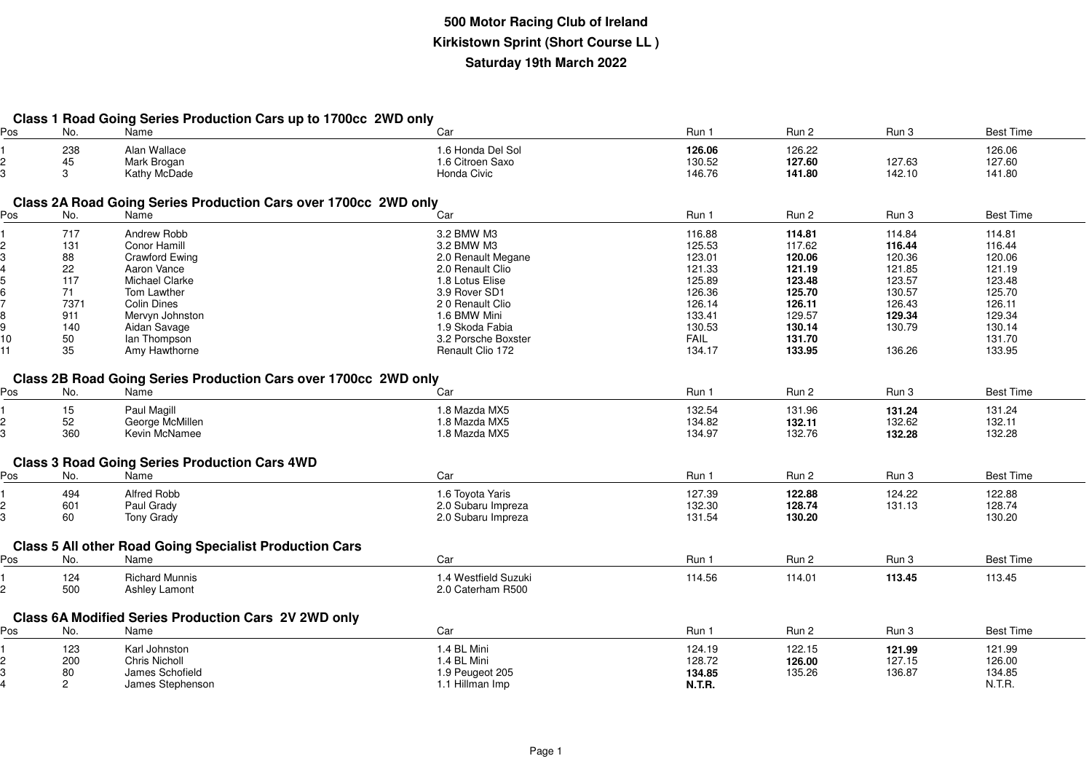|  |  | Class 1 Road Going Series Production Cars up to 1700cc 2WD only |  |  |  |
|--|--|-----------------------------------------------------------------|--|--|--|
|  |  |                                                                 |  |  |  |

| Pos | No.                  | Name                                                                   | Car                  | Run 1       | Run 2  | Run 3  | <b>Best Time</b> |
|-----|----------------------|------------------------------------------------------------------------|----------------------|-------------|--------|--------|------------------|
|     | 238                  | Alan Wallace                                                           | 1.6 Honda Del Sol    | 126.06      | 126.22 |        | 126.06           |
| 2   | 45                   | Mark Brogan                                                            | 1.6 Citroen Saxo     | 130.52      | 127.60 | 127.63 | 127.60           |
| 3   | 3                    | Kathy McDade                                                           | Honda Civic          | 146.76      | 141.80 | 142.10 | 141.80           |
|     |                      |                                                                        |                      |             |        |        |                  |
|     |                      | Class 2A Road Going Series Production Cars over 1700cc 2WD only        |                      |             |        |        |                  |
| Pos | No.                  | Name                                                                   | Car                  | Run 1       | Run 2  | Run 3  | <b>Best Time</b> |
|     | 717                  | Andrew Robb                                                            | 3.2 BMW M3           | 116.88      | 114.81 | 114.84 | 114.81           |
|     | 131                  | Conor Hamill                                                           | 3.2 BMW M3           | 125.53      | 117.62 | 116.44 | 116.44           |
|     | 88                   | <b>Crawford Ewing</b>                                                  | 2.0 Renault Megane   | 123.01      | 120.06 | 120.36 | 120.06           |
|     | 22                   | Aaron Vance                                                            | 2.0 Renault Clio     | 121.33      | 121.19 | 121.85 | 121.19           |
|     | 117                  | Michael Clarke                                                         | 1.8 Lotus Elise      | 125.89      | 123.48 | 123.57 | 123.48           |
|     | 71                   | Tom Lawther                                                            | 3.9 Rover SD1        | 126.36      | 125.70 | 130.57 | 125.70           |
|     | 7371                 | <b>Colin Dines</b>                                                     | 20 Renault Clio      | 126.14      | 126.11 | 126.43 | 126.11           |
|     | 911                  | Mervyn Johnston                                                        | 1.6 BMW Mini         | 133.41      | 129.57 | 129.34 | 129.34           |
| 9   | 140                  | Aidan Savage                                                           | 1.9 Skoda Fabia      | 130.53      | 130.14 | 130.79 | 130.14           |
| 10  | 50                   | lan Thompson                                                           | 3.2 Porsche Boxster  | <b>FAIL</b> | 131.70 |        | 131.70           |
| 11  | 35                   | Amy Hawthorne                                                          | Renault Clio 172     | 134.17      | 133.95 | 136.26 | 133.95           |
|     |                      |                                                                        |                      |             |        |        |                  |
|     |                      | <b>Class 2B Road Going Series Production Cars over 1700cc 2WD only</b> |                      |             |        |        |                  |
| Pos | No.                  | Name                                                                   | Car                  | Run 1       | Run 2  | Run 3  | <b>Best Time</b> |
|     | 15                   | Paul Magill                                                            | 1.8 Mazda MX5        | 132.54      | 131.96 | 131.24 | 131.24           |
| 2   | 52                   | George McMillen                                                        | 1.8 Mazda MX5        | 134.82      | 132.11 | 132.62 | 132.11           |
| 3   | 360                  | Kevin McNamee                                                          | 1.8 Mazda MX5        | 134.97      | 132.76 | 132.28 | 132.28           |
|     |                      |                                                                        |                      |             |        |        |                  |
|     |                      | <b>Class 3 Road Going Series Production Cars 4WD</b>                   |                      |             |        |        |                  |
| Pos | No.                  | Name                                                                   | Car                  | Run 1       | Run 2  | Run 3  | <b>Best Time</b> |
|     | 494                  | Alfred Robb                                                            | 1.6 Toyota Yaris     | 127.39      | 122.88 | 124.22 | 122.88           |
|     | 601                  | Paul Grady                                                             | 2.0 Subaru Impreza   | 132.30      | 128.74 | 131.13 | 128.74           |
| 3   | 60                   | Tony Grady                                                             | 2.0 Subaru Impreza   | 131.54      | 130.20 |        | 130.20           |
|     |                      |                                                                        |                      |             |        |        |                  |
|     |                      | <b>Class 5 All other Road Going Specialist Production Cars</b>         |                      |             |        |        |                  |
| Pos | No.                  | Name                                                                   | Car                  | Run 1       | Run 2  | Run 3  | <b>Best Time</b> |
|     | 124                  | <b>Richard Munnis</b>                                                  | 1.4 Westfield Suzuki | 114.56      | 114.01 | 113.45 | 113.45           |
| 2   | 500                  | Ashley Lamont                                                          | 2.0 Caterham R500    |             |        |        |                  |
|     |                      |                                                                        |                      |             |        |        |                  |
|     |                      | Class 6A Modified Series Production Cars 2V 2WD only                   |                      |             |        |        |                  |
| Pos | No.                  | Name                                                                   | Car                  | Run 1       | Run 2  | Run 3  | <b>Best Time</b> |
|     | 123                  | Karl Johnston                                                          | 1.4 BL Mini          | 124.19      | 122.15 | 121.99 | 121.99           |
|     | 200                  | Chris Nicholl                                                          | 1.4 BL Mini          | 128.72      | 126.00 | 127.15 | 126.00           |
|     | 80                   | James Schofield                                                        | 1.9 Peugeot 205      | 134.85      | 135.26 | 136.87 | 134.85           |
|     | $\mathbf{2}^{\circ}$ | James Stephenson                                                       | 1.1 Hillman Imp      | N.T.R.      |        |        | N.T.R.           |
|     |                      |                                                                        |                      |             |        |        |                  |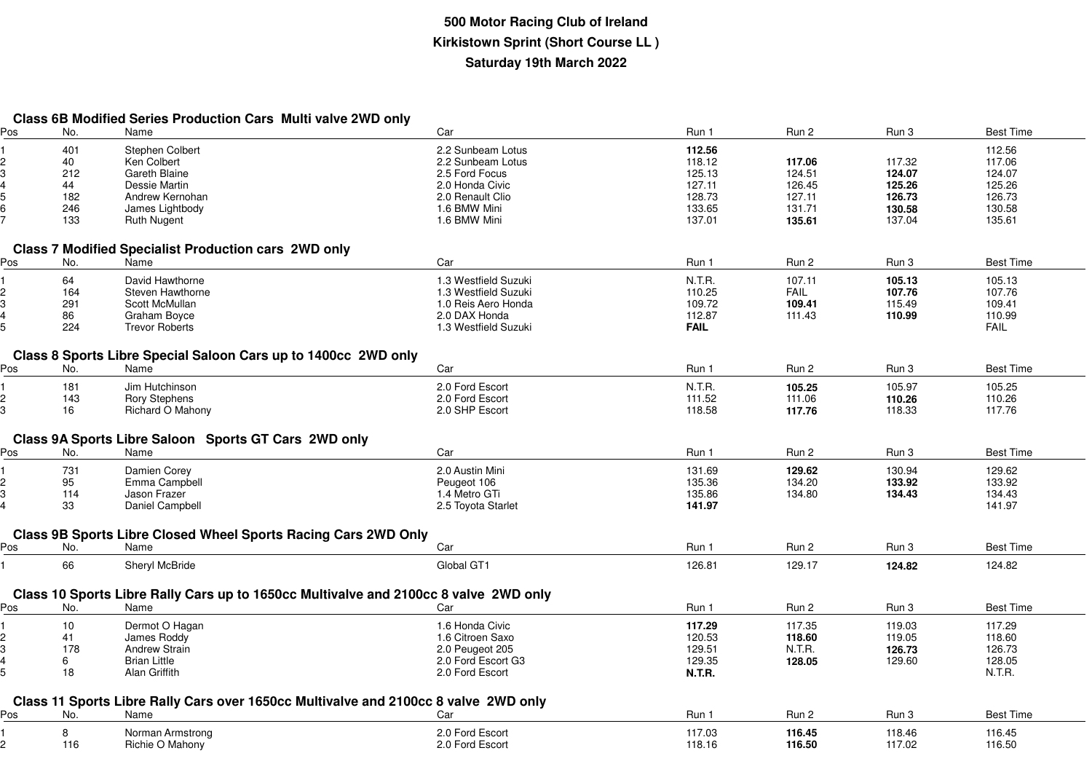| <b>Class 6B Modified Series Production Cars Multi valve 2WD only</b> |  |  |
|----------------------------------------------------------------------|--|--|
|----------------------------------------------------------------------|--|--|

| Pos | No. | Name                                                                                 | Car                  | Run 1         | Run 2  | Run 3  | <b>Best Time</b> |
|-----|-----|--------------------------------------------------------------------------------------|----------------------|---------------|--------|--------|------------------|
|     | 401 | <b>Stephen Colbert</b>                                                               | 2.2 Sunbeam Lotus    | 112.56        |        |        | 112.56           |
|     | 40  | Ken Colbert                                                                          | 2.2 Sunbeam Lotus    | 118.12        | 117.06 | 117.32 | 117.06           |
|     | 212 | Gareth Blaine                                                                        | 2.5 Ford Focus       | 125.13        | 124.51 | 124.07 | 124.07           |
|     | 44  | Dessie Martin                                                                        | 2.0 Honda Civic      | 127.11        | 126.45 | 125.26 | 125.26           |
|     | 182 | Andrew Kernohan                                                                      | 2.0 Renault Clio     | 128.73        | 127.11 | 126.73 | 126.73           |
|     | 246 | James Lightbody                                                                      | 1.6 BMW Mini         | 133.65        | 131.71 | 130.58 | 130.58           |
|     | 133 | <b>Ruth Nugent</b>                                                                   | 1.6 BMW Mini         | 137.01        | 135.61 | 137.04 | 135.61           |
|     |     |                                                                                      |                      |               |        |        |                  |
|     |     | <b>Class 7 Modified Specialist Production cars 2WD only</b>                          |                      |               |        |        |                  |
| Pos | No. | Name                                                                                 | Car                  | Run 1         | Run 2  | Run 3  | <b>Best Time</b> |
|     | 64  | David Hawthorne                                                                      | 1.3 Westfield Suzuki | N.T.R.        | 107.11 | 105.13 | 105.13           |
|     | 164 | Steven Hawthorne                                                                     | 1.3 Westfield Suzuki | 110.25        | FAIL   | 107.76 | 107.76           |
|     | 291 | Scott McMullan                                                                       | 1.0 Reis Aero Honda  | 109.72        | 109.41 | 115.49 | 109.41           |
|     | 86  | Graham Boyce                                                                         | 2.0 DAX Honda        | 112.87        | 111.43 | 110.99 | 110.99           |
|     | 224 | <b>Trevor Roberts</b>                                                                | 1.3 Westfield Suzuki | <b>FAIL</b>   |        |        | <b>FAIL</b>      |
|     |     |                                                                                      |                      |               |        |        |                  |
| Pos | No. | Class 8 Sports Libre Special Saloon Cars up to 1400cc 2WD only<br>Name               | Car                  | Run 1         | Run 2  | Run 3  | <b>Best Time</b> |
|     |     |                                                                                      |                      |               |        |        |                  |
|     | 181 | Jim Hutchinson                                                                       | 2.0 Ford Escort      | N.T.R.        | 105.25 | 105.97 | 105.25           |
|     | 143 | <b>Rory Stephens</b>                                                                 | 2.0 Ford Escort      | 111.52        | 111.06 | 110.26 | 110.26           |
|     | 16  | Richard O Mahony                                                                     | 2.0 SHP Escort       | 118.58        | 117.76 | 118.33 | 117.76           |
|     |     |                                                                                      |                      |               |        |        |                  |
|     |     | Class 9A Sports Libre Saloon Sports GT Cars 2WD only                                 |                      |               |        |        |                  |
| Pos | No. | Name                                                                                 | Car                  | Run 1         | Run 2  | Run 3  | <b>Best Time</b> |
|     | 731 | Damien Corey                                                                         | 2.0 Austin Mini      | 131.69        | 129.62 | 130.94 | 129.62           |
|     | 95  | Emma Campbell                                                                        | Peugeot 106          | 135.36        | 134.20 | 133.92 | 133.92           |
|     | 114 | Jason Frazer                                                                         | 1.4 Metro GTi        | 135.86        | 134.80 | 134.43 | 134.43           |
|     | 33  | Daniel Campbell                                                                      | 2.5 Toyota Starlet   | 141.97        |        |        | 141.97           |
|     |     |                                                                                      |                      |               |        |        |                  |
|     |     | Class 9B Sports Libre Closed Wheel Sports Racing Cars 2WD Only                       |                      |               |        |        |                  |
| Pos | No. | Name                                                                                 | Car                  | Run 1         | Run 2  | Run 3  | <b>Best Time</b> |
|     | 66  | Sheryl McBride                                                                       | Global GT1           | 126.81        | 129.17 | 124.82 | 124.82           |
|     |     |                                                                                      |                      |               |        |        |                  |
|     |     | Class 10 Sports Libre Rally Cars up to 1650cc Multivalve and 2100cc 8 valve 2WD only |                      |               |        |        |                  |
| Pos | No. | Name                                                                                 | Car                  | Run 1         | Run 2  | Run 3  | <b>Best Time</b> |
|     | 10  | Dermot O Hagan                                                                       | 1.6 Honda Civic      | 117.29        | 117.35 | 119.03 | 117.29           |
|     | 41  | James Roddy                                                                          | 1.6 Citroen Saxo     | 120.53        | 118.60 | 119.05 | 118.60           |
|     | 178 | Andrew Strain                                                                        | 2.0 Peugeot 205      | 129.51        | N.T.R. | 126.73 | 126.73           |
|     | 6   | <b>Brian Little</b>                                                                  | 2.0 Ford Escort G3   | 129.35        | 128.05 | 129.60 | 128.05           |
|     | 18  | Alan Griffith                                                                        | 2.0 Ford Escort      | <b>N.T.R.</b> |        |        | N.T.R.           |
|     |     |                                                                                      |                      |               |        |        |                  |
|     |     | Class 11 Sports Libre Rally Cars over 1650cc Multivalve and 2100cc 8 valve 2WD only  |                      |               |        |        |                  |
| Pos | No. | Name                                                                                 | Car                  | Run 1         | Run 2  | Run 3  | <b>Best Time</b> |
|     | 8   | Norman Armstrong                                                                     | 2.0 Ford Escort      | 117.03        | 116.45 | 118.46 | 116.45           |
|     | 116 | Richie O Mahony                                                                      | 2.0 Ford Escort      | 118.16        | 116.50 | 117.02 | 116.50           |
|     |     |                                                                                      |                      |               |        |        |                  |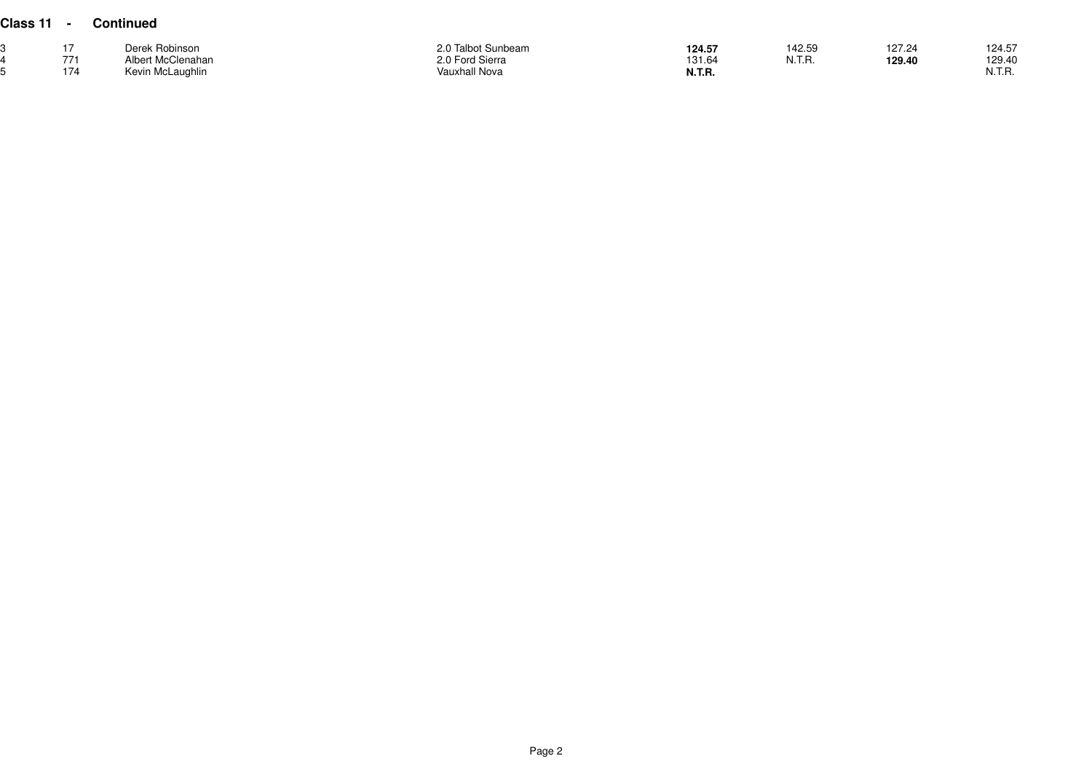| Class 11 |     | Continued         |                    |               |        |        |        |
|----------|-----|-------------------|--------------------|---------------|--------|--------|--------|
|          |     | Derek Robinson    | 2.0 Talbot Sunbeam | 124.57        | 142.59 | 127.24 | 124.57 |
|          | 771 | Albert McClenahan | 2.0 Ford Sierra    | 131.64        | N.T.R. | 129.40 | 129.40 |
|          | 174 | Kevin McLaughlin  | Vauxhall Nova      | <b>N.T.R.</b> |        |        | N.T.R. |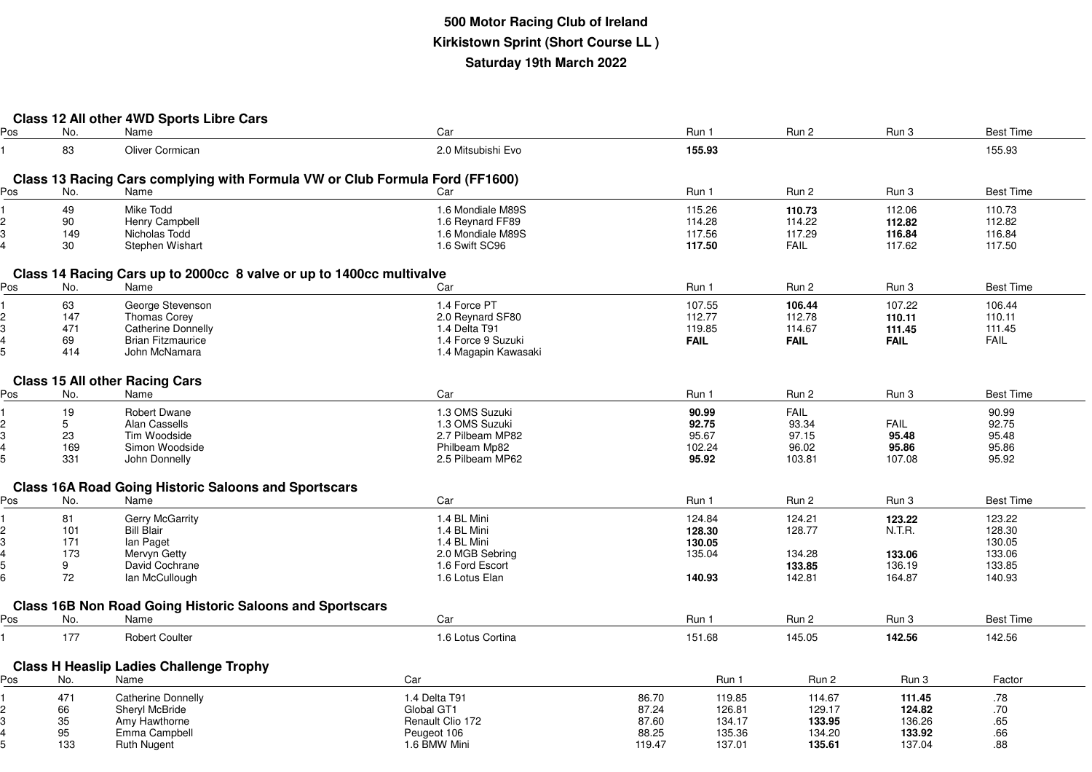|     |     | Class 12 All other 4WD Sports Libre Cars                        |                                                                              |        |             |             |             |                  |
|-----|-----|-----------------------------------------------------------------|------------------------------------------------------------------------------|--------|-------------|-------------|-------------|------------------|
| Pos | No. | Name                                                            | Car                                                                          |        | Run 1       | Run 2       | Run 3       | <b>Best Time</b> |
|     | 83  | Oliver Cormican                                                 | 2.0 Mitsubishi Evo                                                           |        | 155.93      |             |             | 155.93           |
|     |     |                                                                 |                                                                              |        |             |             |             |                  |
|     |     |                                                                 | Class 13 Racing Cars complying with Formula VW or Club Formula Ford (FF1600) |        |             |             |             |                  |
| Pos | No. | Name                                                            | Car                                                                          |        | Run 1       | Run 2       | Run 3       | <b>Best Time</b> |
|     |     |                                                                 |                                                                              |        |             |             |             |                  |
|     | 49  | Mike Todd                                                       | 1.6 Mondiale M89S                                                            |        | 115.26      | 110.73      | 112.06      | 110.73           |
| 2   | 90  | Henry Campbell                                                  | 1.6 Reynard FF89                                                             |        | 114.28      | 114.22      | 112.82      | 112.82           |
| 3   | 149 | Nicholas Todd                                                   | 1.6 Mondiale M89S                                                            |        | 117.56      | 117.29      | 116.84      | 116.84           |
|     | 30  | Stephen Wishart                                                 | 1.6 Swift SC96                                                               |        | 117.50      | <b>FAIL</b> | 117.62      | 117.50           |
|     |     |                                                                 |                                                                              |        |             |             |             |                  |
|     |     |                                                                 | Class 14 Racing Cars up to 2000cc 8 valve or up to 1400cc multivalve         |        |             |             |             |                  |
| Pos | No. | Name                                                            | Car                                                                          |        | Run 1       | Run 2       | Run 3       | <b>Best Time</b> |
|     | 63  | George Stevenson                                                | 1.4 Force PT                                                                 |        | 107.55      | 106.44      | 107.22      | 106.44           |
| 2   | 147 | Thomas Corey                                                    | 2.0 Reynard SF80                                                             |        | 112.77      | 112.78      | 110.11      | 110.11           |
| 3   | 471 | <b>Catherine Donnelly</b>                                       | 1.4 Delta T91                                                                |        | 119.85      | 114.67      | 111.45      | 111.45           |
|     | 69  | <b>Brian Fitzmaurice</b>                                        | 1.4 Force 9 Suzuki                                                           |        | <b>FAIL</b> | <b>FAIL</b> | <b>FAIL</b> | <b>FAIL</b>      |
| 5   | 414 | John McNamara                                                   | 1.4 Magapin Kawasaki                                                         |        |             |             |             |                  |
|     |     |                                                                 |                                                                              |        |             |             |             |                  |
|     |     | <b>Class 15 All other Racing Cars</b>                           |                                                                              |        |             |             |             |                  |
| Pos | No. | Name                                                            | Car                                                                          |        | Run 1       | Run 2       | Run 3       | <b>Best Time</b> |
|     | 19  | <b>Robert Dwane</b>                                             | 1.3 OMS Suzuki                                                               |        | 90.99       | FAIL        |             | 90.99            |
| 2   | 5   | Alan Cassells                                                   | 1.3 OMS Suzuki                                                               |        | 92.75       | 93.34       | FAIL        | 92.75            |
| 3   | 23  | Tim Woodside                                                    | 2.7 Pilbeam MP82                                                             |        | 95.67       | 97.15       | 95.48       | 95.48            |
| 4   | 169 | Simon Woodside                                                  | Philbeam Mp82                                                                |        | 102.24      | 96.02       | 95.86       | 95.86            |
|     | 331 | John Donnelly                                                   | 2.5 Pilbeam MP62                                                             |        | 95.92       | 103.81      | 107.08      | 95.92            |
|     |     |                                                                 |                                                                              |        |             |             |             |                  |
|     |     | <b>Class 16A Road Going Historic Saloons and Sportscars</b>     |                                                                              |        |             |             |             |                  |
| Pos | No. | Name                                                            | Car                                                                          |        | Run 1       | Run 2       | Run 3       | <b>Best Time</b> |
|     |     |                                                                 |                                                                              |        |             |             |             |                  |
|     | 81  | Gerry McGarrity                                                 | 1.4 BL Mini                                                                  |        | 124.84      | 124.21      | 123.22      | 123.22           |
| 2   | 101 | <b>Bill Blair</b>                                               | 1.4 BL Mini                                                                  |        | 128.30      | 128.77      | N.T.R.      | 128.30           |
| 3   | 171 | lan Paget                                                       | 1.4 BL Mini                                                                  |        | 130.05      |             |             | 130.05           |
|     | 173 | Mervyn Getty                                                    | 2.0 MGB Sebring                                                              |        | 135.04      | 134.28      | 133.06      | 133.06           |
| 5   | 9   | David Cochrane                                                  | 1.6 Ford Escort                                                              |        |             | 133.85      | 136.19      | 133.85           |
|     | 72  | lan McCullough                                                  | 1.6 Lotus Elan                                                               |        | 140.93      | 142.81      | 164.87      | 140.93           |
|     |     | <b>Class 16B Non Road Going Historic Saloons and Sportscars</b> |                                                                              |        |             |             |             |                  |
| Pos | No. | Name                                                            | Car                                                                          |        | Run 1       | Run 2       | Run 3       | <b>Best Time</b> |
|     |     |                                                                 |                                                                              |        |             |             |             |                  |
|     | 177 | <b>Robert Coulter</b>                                           | 1.6 Lotus Cortina                                                            |        | 151.68      | 145.05      | 142.56      | 142.56           |
|     |     |                                                                 |                                                                              |        |             |             |             |                  |
|     |     | <b>Class H Heaslip Ladies Challenge Trophy</b>                  |                                                                              |        |             |             |             |                  |
| Pos | No. | Name                                                            | Car                                                                          |        | Run 1       | Run 2       | Run 3       | Factor           |
|     | 471 | Catherine Donnelly                                              | 1.4 Delta T91                                                                | 86.70  | 119.85      | 114.67      | 111.45      | .78              |
|     | 66  | Sheryl McBride                                                  | Global GT1                                                                   | 87.24  | 126.81      | 129.17      | 124.82      | .70              |
| 3   | 35  | Amy Hawthorne                                                   | Renault Clio 172                                                             | 87.60  | 134.17      | 133.95      | 136.26      | .65              |
|     | 95  | Emma Campbell                                                   | Peugeot 106                                                                  | 88.25  | 135.36      | 134.20      | 133.92      | .66              |
|     | 133 | <b>Ruth Nugent</b>                                              | 1.6 BMW Mini                                                                 | 119.47 | 137.01      | 135.61      | 137.04      | .88              |